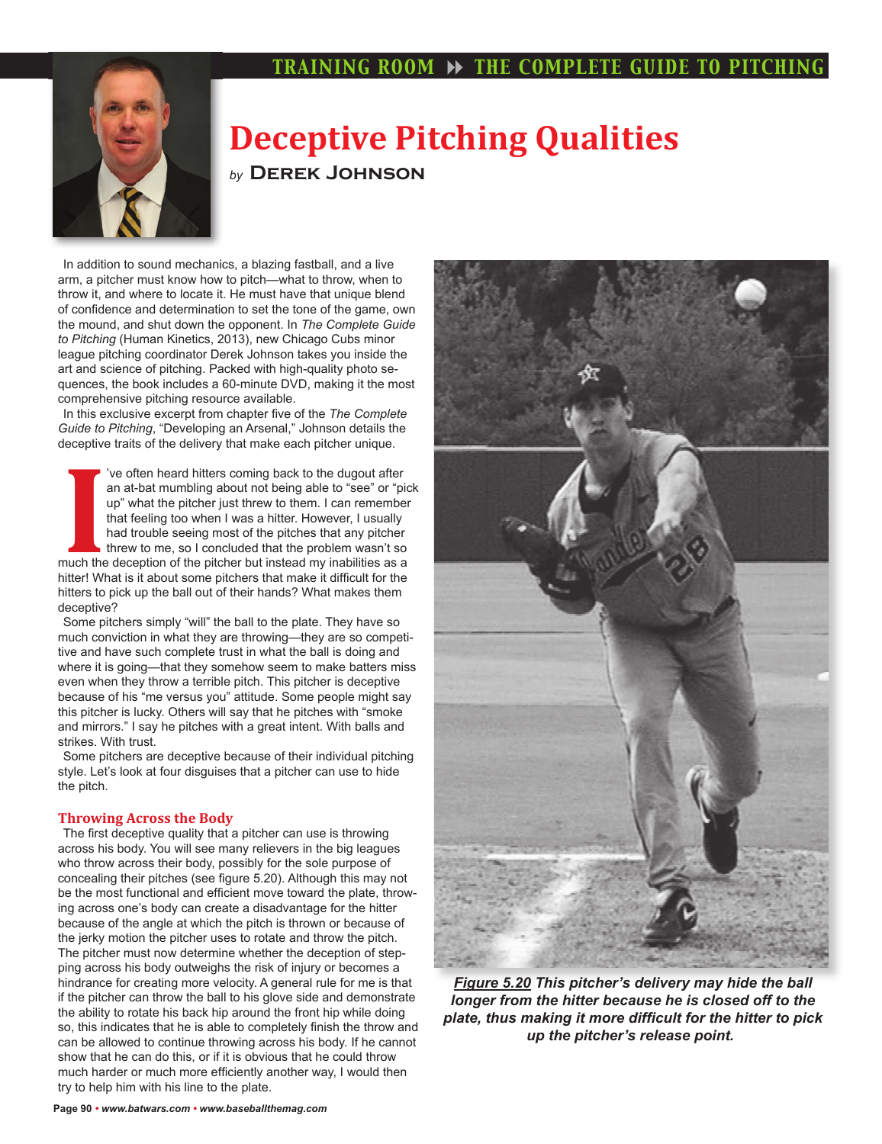# **TRAINING ROOM >> THE COMPLETE GUIDE TO PITCHING**



# **Deceptive Pitching Qualities** *by* **Derek Johnson**

In addition to sound mechanics, a blazing fastball, and a live arm, a pitcher must know how to pitch—what to throw, when to throw it, and where to locate it. He must have that unique blend of confidence and determination to set the tone of the game, own the mound, and shut down the opponent. In *The Complete Guide to Pitching* (Human Kinetics, 2013), new Chicago Cubs minor league pitching coordinator Derek Johnson takes you inside the art and science of pitching. Packed with high-quality photo sequences, the book includes a 60-minute DVD, making it the most comprehensive pitching resource available.

In this exclusive excerpt from chapter five of the *The Complete Guide to Pitching*, "Developing an Arsenal," Johnson details the deceptive traits of the delivery that make each pitcher unique.

<sup>1</sup>
<sup>1</sup> ve often heard hitters coming back to the dugout after<br>
an at-bat mumbling about not being able to "see" or "pic<br>
up" what the pitcher just threw to them. I can remember<br>
that feeling too when I was a hitter. Howev 've often heard hitters coming back to the dugout after an at-bat mumbling about not being able to "see" or "pick up" what the pitcher just threw to them. I can remember that feeling too when I was a hitter. However, I usually had trouble seeing most of the pitches that any pitcher threw to me, so I concluded that the problem wasn't so hitter! What is it about some pitchers that make it difficult for the hitters to pick up the ball out of their hands? What makes them deceptive?

Some pitchers simply "will" the ball to the plate. They have so much conviction in what they are throwing—they are so competitive and have such complete trust in what the ball is doing and where it is going—that they somehow seem to make batters miss even when they throw a terrible pitch. This pitcher is deceptive because of his "me versus you" attitude. Some people might say this pitcher is lucky. Others will say that he pitches with "smoke and mirrors." I say he pitches with a great intent. With balls and strikes. With trust.

Some pitchers are deceptive because of their individual pitching style. Let's look at four disguises that a pitcher can use to hide the pitch.

## **Throwing Across the Body**

The first deceptive quality that a pitcher can use is throwing across his body. You will see many relievers in the big leagues who throw across their body, possibly for the sole purpose of concealing their pitches (see figure 5.20). Although this may not be the most functional and efficient move toward the plate, throwing across one's body can create a disadvantage for the hitter because of the angle at which the pitch is thrown or because of the jerky motion the pitcher uses to rotate and throw the pitch. The pitcher must now determine whether the deception of stepping across his body outweighs the risk of injury or becomes a hindrance for creating more velocity. A general rule for me is that if the pitcher can throw the ball to his glove side and demonstrate the ability to rotate his back hip around the front hip while doing so, this indicates that he is able to completely finish the throw and can be allowed to continue throwing across his body. If he cannot show that he can do this, or if it is obvious that he could throw much harder or much more efficiently another way, I would then try to help him with his line to the plate.



*Figure 5.20 This pitcher's delivery may hide the ball longer from the hitter because he is closed off to the*  plate, thus making it more difficult for the hitter to pick *up the pitcher's release point.*